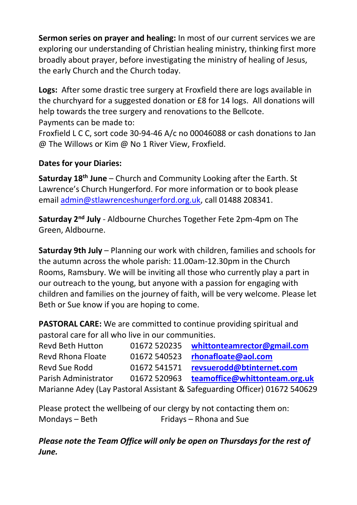**Sermon series on prayer and healing:** In most of our current services we are exploring our understanding of Christian healing ministry, thinking first more broadly about prayer, before investigating the ministry of healing of Jesus, the early Church and the Church today.

**Logs:** After some drastic tree surgery at Froxfield there are logs available in the churchyard for a suggested donation or £8 for 14 logs. All donations will help towards the tree surgery and renovations to the Bellcote. Payments can be made to:

Froxfield L C C, sort code 30-94-46 A/c no 00046088 or cash donations to Jan @ The Willows or Kim @ No 1 River View, Froxfield.

### **Dates for your Diaries:**

**Saturday 18th June** – Church and Community Looking after the Earth. St Lawrence's Church Hungerford. For more information or to book please emai[l admin@stlawrenceshungerford.org.uk,](mailto:admin@stlawrenceshungerford.org.uk) call 01488 208341.

**Saturday 2nd July** - Aldbourne Churches Together Fete 2pm-4pm on The Green, Aldbourne.

**Saturday 9th July** – Planning our work with children, families and schools for the autumn across the whole parish: 11.00am-12.30pm in the Church Rooms, Ramsbury. We will be inviting all those who currently play a part in our outreach to the young, but anyone with a passion for engaging with children and families on the journey of faith, will be very welcome. Please let Beth or Sue know if you are hoping to come.

**PASTORAL CARE:** We are committed to continue providing spiritual and pastoral care for all who live in our communities.

| Revd Beth Hutton                                                           | 01672 520235 | whittonteamrector@gmail.com   |
|----------------------------------------------------------------------------|--------------|-------------------------------|
| Revd Rhona Floate                                                          | 01672 540523 | rhonafloate@aol.com           |
| Revd Sue Rodd                                                              | 01672 541571 | revsuerodd@btinternet.com     |
| Parish Administrator                                                       | 01672 520963 | teamoffice@whittonteam.org.uk |
| Marianne Adey (Lay Pastoral Assistant & Safeguarding Officer) 01672 540629 |              |                               |

Please protect the wellbeing of our clergy by not contacting them on: Mondays – Beth Fridays – Rhona and Sue

*Please note the Team Office will only be open on Thursdays for the rest of June.*